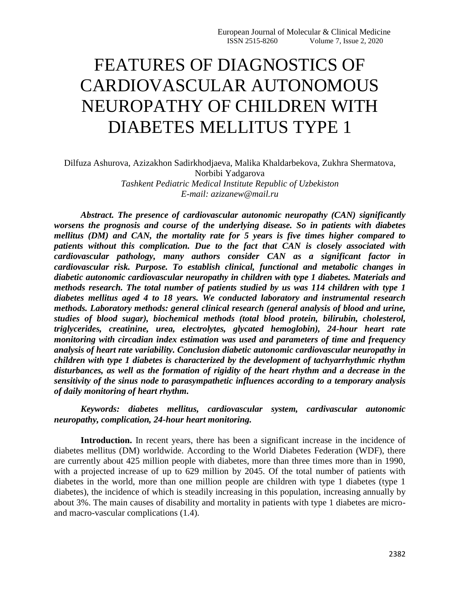## FEATURES OF DIAGNOSTICS OF CARDIOVASCULAR AUTONOMOUS NEUROPATHY OF CHILDREN WITH DIABETES MELLITUS TYPE 1

Dilfuza Ashurova, Azizakhon Sadirkhodjaeva, Malika Khaldarbekova, Zukhra Shermatova, Norbibi Yadgarova *Tashkent Pediatric Medical Institute Republic of Uzbekiston E-mail: azizanew@mail.ru*

*Abstract. The presence of cardiovascular autonomic neuropathy (CAN) significantly worsens the prognosis and course of the underlying disease. So in patients with diabetes mellitus (DM) and CAN, the mortality rate for 5 years is five times higher compared to patients without this complication. Due to the fact that CAN is closely associated with cardiovascular pathology, many authors consider CAN as a significant factor in cardiovascular risk. Purpose. To establish clinical, functional and metabolic changes in diabetic autonomic cardiovascular neuropathy in children with type 1 diabetes. Materials and methods research. The total number of patients studied by us was 114 children with type 1 diabetes mellitus aged 4 to 18 years. We conducted laboratory and instrumental research methods. Laboratory methods: general clinical research (general analysis of blood and urine, studies of blood sugar), biochemical methods (total blood protein, bilirubin, cholesterol, triglycerides, creatinine, urea, electrolytes, glycated hemoglobin), 24-hour heart rate monitoring with circadian index estimation was used and parameters of time and frequency analysis of heart rate variability. Conclusion diabetic autonomic cardiovascular neuropathy in children with type 1 diabetes is characterized by the development of tachyarrhythmic rhythm disturbances, as well as the formation of rigidity of the heart rhythm and a decrease in the sensitivity of the sinus node to parasympathetic influences according to a temporary analysis of daily monitoring of heart rhythm.*

*Keywords: diabetes mellitus, cardiovascular system, cardivascular autonomic neuropathy, complication, 24-hour heart monitoring.*

**Introduction.** In recent years, there has been a significant increase in the incidence of diabetes mellitus (DM) worldwide. According to the World Diabetes Federation (WDF), there are currently about 425 million people with diabetes, more than three times more than in 1990, with a projected increase of up to 629 million by 2045. Of the total number of patients with diabetes in the world, more than one million people are children with type 1 diabetes (type 1 diabetes), the incidence of which is steadily increasing in this population, increasing annually by about 3%. The main causes of disability and mortality in patients with type 1 diabetes are microand macro-vascular complications (1.4).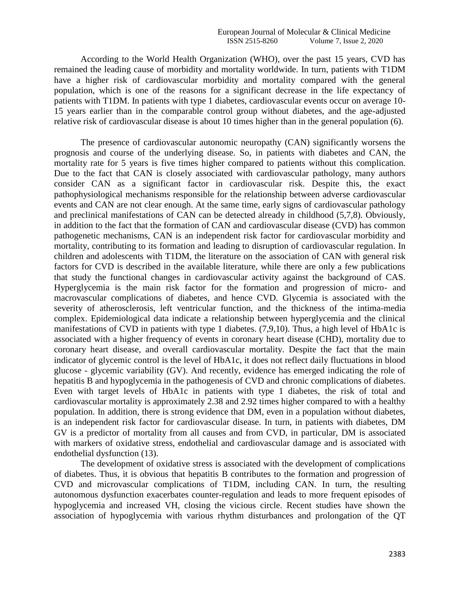According to the World Health Organization (WHO), over the past 15 years, CVD has remained the leading cause of morbidity and mortality worldwide. In turn, patients with T1DM have a higher risk of cardiovascular morbidity and mortality compared with the general population, which is one of the reasons for a significant decrease in the life expectancy of patients with T1DM. In patients with type 1 diabetes, cardiovascular events occur on average 10- 15 years earlier than in the comparable control group without diabetes, and the age-adjusted relative risk of cardiovascular disease is about 10 times higher than in the general population (6).

The presence of cardiovascular autonomic neuropathy (CAN) significantly worsens the prognosis and course of the underlying disease. So, in patients with diabetes and CAN, the mortality rate for 5 years is five times higher compared to patients without this complication. Due to the fact that CAN is closely associated with cardiovascular pathology, many authors consider CAN as a significant factor in cardiovascular risk. Despite this, the exact pathophysiological mechanisms responsible for the relationship between adverse cardiovascular events and CAN are not clear enough. At the same time, early signs of cardiovascular pathology and preclinical manifestations of CAN can be detected already in childhood (5,7,8). Obviously, in addition to the fact that the formation of CAN and cardiovascular disease (CVD) has common pathogenetic mechanisms, CAN is an independent risk factor for cardiovascular morbidity and mortality, contributing to its formation and leading to disruption of cardiovascular regulation. In children and adolescents with T1DM, the literature on the association of CAN with general risk factors for CVD is described in the available literature, while there are only a few publications that study the functional changes in cardiovascular activity against the background of CAS. Hyperglycemia is the main risk factor for the formation and progression of micro- and macrovascular complications of diabetes, and hence CVD. Glycemia is associated with the severity of atherosclerosis, left ventricular function, and the thickness of the intima-media complex. Epidemiological data indicate a relationship between hyperglycemia and the clinical manifestations of CVD in patients with type 1 diabetes. (7,9,10). Thus, a high level of HbA1c is associated with a higher frequency of events in coronary heart disease (CHD), mortality due to coronary heart disease, and overall cardiovascular mortality. Despite the fact that the main indicator of glycemic control is the level of HbA1c, it does not reflect daily fluctuations in blood glucose - glycemic variability (GV). And recently, evidence has emerged indicating the role of hepatitis B and hypoglycemia in the pathogenesis of CVD and chronic complications of diabetes. Even with target levels of HbA1c in patients with type 1 diabetes, the risk of total and cardiovascular mortality is approximately 2.38 and 2.92 times higher compared to with a healthy population. In addition, there is strong evidence that DM, even in a population without diabetes, is an independent risk factor for cardiovascular disease. In turn, in patients with diabetes, DM GV is a predictor of mortality from all causes and from CVD, in particular, DM is associated with markers of oxidative stress, endothelial and cardiovascular damage and is associated with endothelial dysfunction (13).

The development of oxidative stress is associated with the development of complications of diabetes. Thus, it is obvious that hepatitis B contributes to the formation and progression of CVD and microvascular complications of T1DM, including CAN. In turn, the resulting autonomous dysfunction exacerbates counter-regulation and leads to more frequent episodes of hypoglycemia and increased VH, closing the vicious circle. Recent studies have shown the association of hypoglycemia with various rhythm disturbances and prolongation of the QT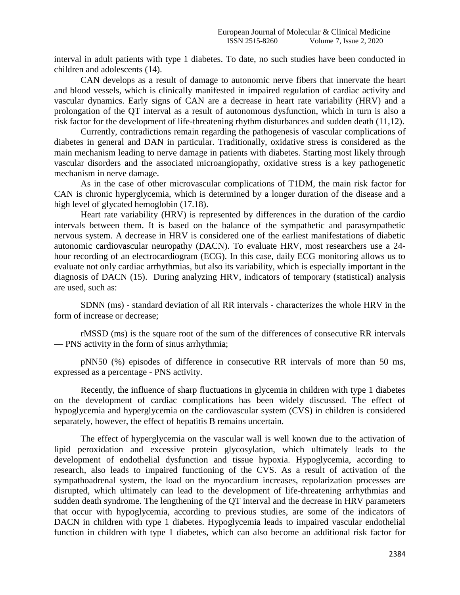interval in adult patients with type 1 diabetes. To date, no such studies have been conducted in children and adolescents (14).

CAN develops as a result of damage to autonomic nerve fibers that innervate the heart and blood vessels, which is clinically manifested in impaired regulation of cardiac activity and vascular dynamics. Early signs of CAN are a decrease in heart rate variability (HRV) and a prolongation of the QT interval as a result of autonomous dysfunction, which in turn is also a risk factor for the development of life-threatening rhythm disturbances and sudden death (11,12).

Currently, contradictions remain regarding the pathogenesis of vascular complications of diabetes in general and DAN in particular. Traditionally, oxidative stress is considered as the main mechanism leading to nerve damage in patients with diabetes. Starting most likely through vascular disorders and the associated microangiopathy, oxidative stress is a key pathogenetic mechanism in nerve damage.

As in the case of other microvascular complications of T1DM, the main risk factor for CAN is chronic hyperglycemia, which is determined by a longer duration of the disease and a high level of glycated hemoglobin (17.18).

Heart rate variability (HRV) is represented by differences in the duration of the cardio intervals between them. It is based on the balance of the sympathetic and parasympathetic nervous system. A decrease in HRV is considered one of the earliest manifestations of diabetic autonomic cardiovascular neuropathy (DACN). To evaluate HRV, most researchers use a 24 hour recording of an electrocardiogram (ECG). In this case, daily ECG monitoring allows us to evaluate not only cardiac arrhythmias, but also its variability, which is especially important in the diagnosis of DACN (15). During analyzing HRV, indicators of temporary (statistical) analysis are used, such as:

SDNN (ms) - standard deviation of all RR intervals - characterizes the whole HRV in the form of increase or decrease;

rMSSD (ms) is the square root of the sum of the differences of consecutive RR intervals — PNS activity in the form of sinus arrhythmia;

pNN50 (%) episodes of difference in consecutive RR intervals of more than 50 ms, expressed as a percentage - PNS activity.

Recently, the influence of sharp fluctuations in glycemia in children with type 1 diabetes on the development of cardiac complications has been widely discussed. The effect of hypoglycemia and hyperglycemia on the cardiovascular system (CVS) in children is considered separately, however, the effect of hepatitis B remains uncertain.

The effect of hyperglycemia on the vascular wall is well known due to the activation of lipid peroxidation and excessive protein glycosylation, which ultimately leads to the development of endothelial dysfunction and tissue hypoxia. Hypoglycemia, according to research, also leads to impaired functioning of the CVS. As a result of activation of the sympathoadrenal system, the load on the myocardium increases, repolarization processes are disrupted, which ultimately can lead to the development of life-threatening arrhythmias and sudden death syndrome. The lengthening of the QT interval and the decrease in HRV parameters that occur with hypoglycemia, according to previous studies, are some of the indicators of DACN in children with type 1 diabetes. Hypoglycemia leads to impaired vascular endothelial function in children with type 1 diabetes, which can also become an additional risk factor for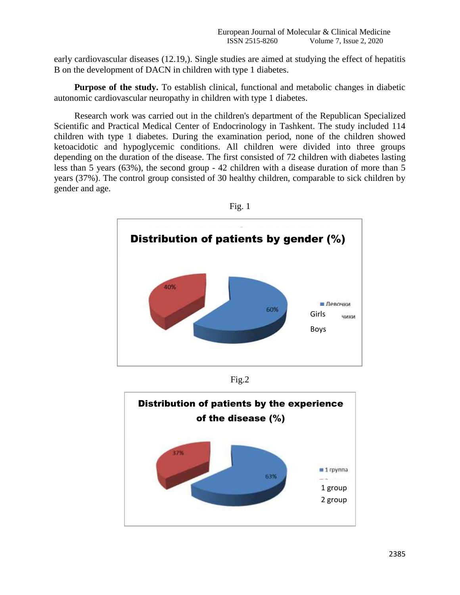early cardiovascular diseases (12.19,). Single studies are aimed at studying the effect of hepatitis B on the development of DACN in children with type 1 diabetes.

**Purpose of the study.** To establish clinical, functional and metabolic changes in diabetic autonomic cardiovascular neuropathy in children with type 1 diabetes.

Research work was carried out in the children's department of the Republican Specialized Scientific and Practical Medical Center of Endocrinology in Tashkent. The study included 114 children with type 1 diabetes. During the examination period, none of the children showed ketoacidotic and hypoglycemic conditions. All children were divided into three groups depending on the duration of the disease. The first consisted of 72 children with diabetes lasting less than 5 years (63%), the second group - 42 children with a disease duration of more than 5 years (37%). The control group consisted of 30 healthy children, comparable to sick children by gender and age.







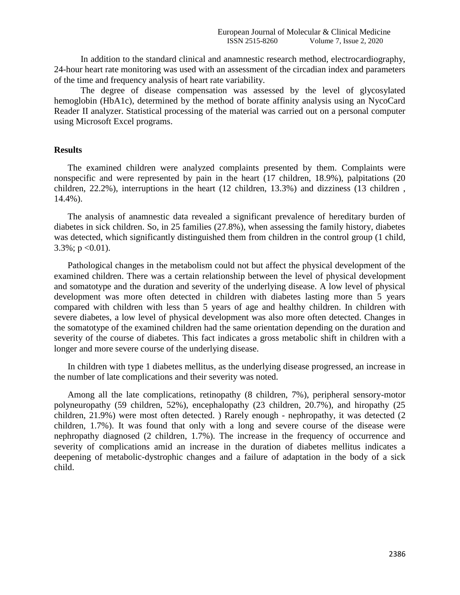In addition to the standard clinical and anamnestic research method, electrocardiography, 24-hour heart rate monitoring was used with an assessment of the circadian index and parameters of the time and frequency analysis of heart rate variability.

The degree of disease compensation was assessed by the level of glycosylated hemoglobin (HbA1c), determined by the method of borate affinity analysis using an NycoCard Reader II analyzer. Statistical processing of the material was carried out on a personal computer using Microsoft Excel programs.

## **Results**

The examined children were analyzed complaints presented by them. Complaints were nonspecific and were represented by pain in the heart (17 children, 18.9%), palpitations (20 children, 22.2%), interruptions in the heart (12 children, 13.3%) and dizziness (13 children , 14.4%).

The analysis of anamnestic data revealed a significant prevalence of hereditary burden of diabetes in sick children. So, in 25 families (27.8%), when assessing the family history, diabetes was detected, which significantly distinguished them from children in the control group (1 child,  $3.3\%$ ; p < 0.01).

Pathological changes in the metabolism could not but affect the physical development of the examined children. There was a certain relationship between the level of physical development and somatotype and the duration and severity of the underlying disease. A low level of physical development was more often detected in children with diabetes lasting more than 5 years compared with children with less than 5 years of age and healthy children. In children with severe diabetes, a low level of physical development was also more often detected. Changes in the somatotype of the examined children had the same orientation depending on the duration and severity of the course of diabetes. This fact indicates a gross metabolic shift in children with a longer and more severe course of the underlying disease.

In children with type 1 diabetes mellitus, as the underlying disease progressed, an increase in the number of late complications and their severity was noted.

Among all the late complications, retinopathy (8 children, 7%), peripheral sensory-motor polyneuropathy (59 children, 52%), encephalopathy (23 children, 20.7%), and hiropathy (25 children, 21.9%) were most often detected. ) Rarely enough - nephropathy, it was detected (2 children, 1.7%). It was found that only with a long and severe course of the disease were nephropathy diagnosed (2 children, 1.7%). The increase in the frequency of occurrence and severity of complications amid an increase in the duration of diabetes mellitus indicates a deepening of metabolic-dystrophic changes and a failure of adaptation in the body of a sick child.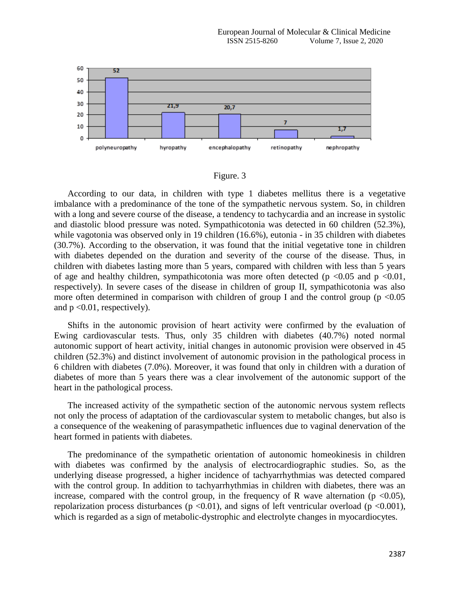

| онг |  |
|-----|--|
|     |  |

According to our data, in children with type 1 diabetes mellitus there is a vegetative imbalance with a predominance of the tone of the sympathetic nervous system. So, in children with a long and severe course of the disease, a tendency to tachycardia and an increase in systolic and diastolic blood pressure was noted. Sympathicotonia was detected in 60 children (52.3%), while vagotonia was observed only in 19 children (16.6%), eutonia - in 35 children with diabetes (30.7%). According to the observation, it was found that the initial vegetative tone in children with diabetes depended on the duration and severity of the course of the disease. Thus, in children with diabetes lasting more than 5 years, compared with children with less than 5 years of age and healthy children, sympathicotonia was more often detected ( $p \le 0.05$  and  $p \le 0.01$ , respectively). In severe cases of the disease in children of group II, sympathicotonia was also more often determined in comparison with children of group I and the control group ( $p \le 0.05$ ) and  $p \leq 0.01$ , respectively).

Shifts in the autonomic provision of heart activity were confirmed by the evaluation of Ewing cardiovascular tests. Thus, only 35 children with diabetes (40.7%) noted normal autonomic support of heart activity, initial changes in autonomic provision were observed in 45 children (52.3%) and distinct involvement of autonomic provision in the pathological process in 6 children with diabetes (7.0%). Moreover, it was found that only in children with a duration of diabetes of more than 5 years there was a clear involvement of the autonomic support of the heart in the pathological process.

The increased activity of the sympathetic section of the autonomic nervous system reflects not only the process of adaptation of the cardiovascular system to metabolic changes, but also is a consequence of the weakening of parasympathetic influences due to vaginal denervation of the heart formed in patients with diabetes.

The predominance of the sympathetic orientation of autonomic homeokinesis in children with diabetes was confirmed by the analysis of electrocardiographic studies. So, as the underlying disease progressed, a higher incidence of tachyarrhythmias was detected compared with the control group. In addition to tachyarrhythmias in children with diabetes, there was an increase, compared with the control group, in the frequency of R wave alternation ( $p \le 0.05$ ), repolarization process disturbances ( $p \le 0.01$ ), and signs of left ventricular overload ( $p \le 0.001$ ), which is regarded as a sign of metabolic-dystrophic and electrolyte changes in myocardiocytes.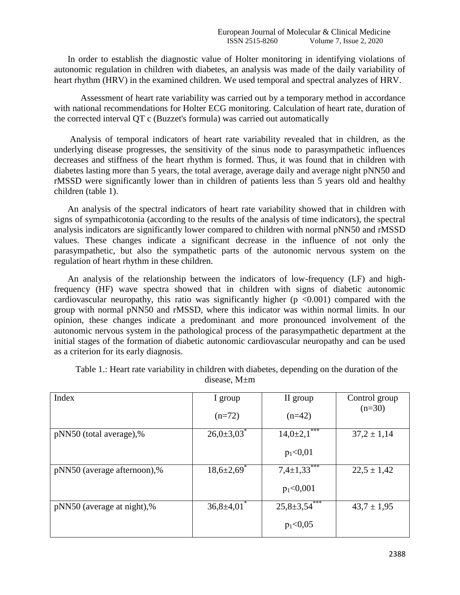In order to establish the diagnostic value of Holter monitoring in identifying violations of autonomic regulation in children with diabetes, an analysis was made of the daily variability of heart rhythm (HRV) in the examined children. We used temporal and spectral analyzes of HRV.

Assessment of heart rate variability was carried out by a temporary method in accordance with national recommendations for Holter ECG monitoring. Calculation of heart rate, duration of the corrected interval QT c (Buzzet's formula) was carried out automatically

Analysis of temporal indicators of heart rate variability revealed that in children, as the underlying disease progresses, the sensitivity of the sinus node to parasympathetic influences decreases and stiffness of the heart rhythm is formed. Thus, it was found that in children with diabetes lasting more than 5 years, the total average, average daily and average night pNN50 and rMSSD were significantly lower than in children of patients less than 5 years old and healthy children (table 1).

An analysis of the spectral indicators of heart rate variability showed that in children with signs of sympathicotonia (according to the results of the analysis of time indicators), the spectral analysis indicators are significantly lower compared to children with normal pNN50 and rMSSD values. These changes indicate a significant decrease in the influence of not only the parasympathetic, but also the sympathetic parts of the autonomic nervous system on the regulation of heart rhythm in these children.

An analysis of the relationship between the indicators of low-frequency (LF) and highfrequency (HF) wave spectra showed that in children with signs of diabetic autonomic cardiovascular neuropathy, this ratio was significantly higher ( $p \le 0.001$ ) compared with the group with normal pNN50 and rMSSD, where this indicator was within normal limits. In our opinion, these changes indicate a predominant and more pronounced involvement of the autonomic nervous system in the pathological process of the parasympathetic department at the initial stages of the formation of diabetic autonomic cardiovascular neuropathy and can be used as a criterion for its early diagnosis.

| Index                       | I group                      | II group                    | Control group   |
|-----------------------------|------------------------------|-----------------------------|-----------------|
|                             | $(n=72)$                     | $(n=42)$                    | $(n=30)$        |
| pNN50 (total average),%     | $26,0{\pm}3,03$ <sup>*</sup> | ***<br>$14,0{\pm}2,1$       | $37,2 \pm 1,14$ |
|                             |                              | $p_1<0,01$                  |                 |
| pNN50 (average afternoon),% | $18,6{\pm}2,69$ <sup>*</sup> | $7,4\pm1,33$ <sup>***</sup> | $22.5 \pm 1.42$ |
|                             |                              | $p_1<0,001$                 |                 |
| pNN50 (average at night),%  | $36,8 \pm 4,01$ <sup>*</sup> | $25,8 \pm 3,54$ ***         | $43.7 \pm 1.95$ |
|                             |                              | $p_1<0,05$                  |                 |

Table 1.: Heart rate variability in children with diabetes, depending on the duration of the disease, М±m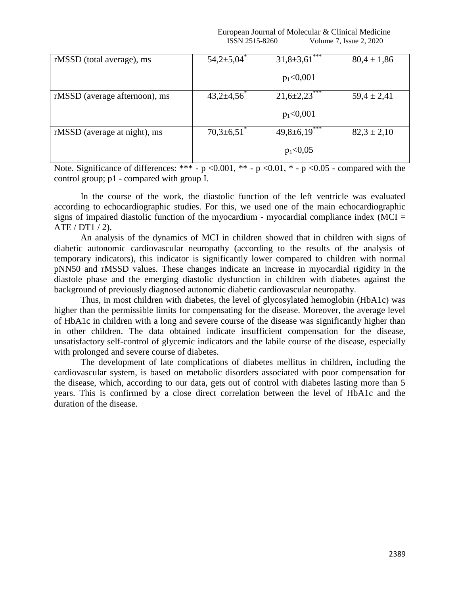European Journal of Molecular & Clinical Medicine ISSN 2515-8260 Volume 7, Issue 2, 2020

| rMSSD (total average), ms     | $54,2{\pm}5,04$             | $31,8 \pm 3,61$ <sup>***</sup> | $80,4 \pm 1,86$ |
|-------------------------------|-----------------------------|--------------------------------|-----------------|
|                               |                             | $p_1<0,001$                    |                 |
| rMSSD (average afternoon), ms | $43,2{\pm}4,56$             | $21,6\pm 2,23$                 | $59,4 \pm 2,41$ |
|                               |                             | $p_1<0,001$                    |                 |
| rMSSD (average at night), ms  | $70,3\pm 6,51$ <sup>*</sup> | $49,8 \pm 6,19$                | $82,3 \pm 2,10$ |
|                               |                             | $p_1<0,05$                     |                 |

Note. Significance of differences: \*\*\* - p <0.001, \*\* - p <0.01, \* - p <0.05 - compared with the control group; p1 - compared with group I.

In the course of the work, the diastolic function of the left ventricle was evaluated according to echocardiographic studies. For this, we used one of the main echocardiographic signs of impaired diastolic function of the myocardium - myocardial compliance index ( $MCI =$ ATE / DT1 / 2).

An analysis of the dynamics of MCI in children showed that in children with signs of diabetic autonomic cardiovascular neuropathy (according to the results of the analysis of temporary indicators), this indicator is significantly lower compared to children with normal pNN50 and rMSSD values. These changes indicate an increase in myocardial rigidity in the diastole phase and the emerging diastolic dysfunction in children with diabetes against the background of previously diagnosed autonomic diabetic cardiovascular neuropathy.

Thus, in most children with diabetes, the level of glycosylated hemoglobin (HbA1c) was higher than the permissible limits for compensating for the disease. Moreover, the average level of HbA1c in children with a long and severe course of the disease was significantly higher than in other children. The data obtained indicate insufficient compensation for the disease, unsatisfactory self-control of glycemic indicators and the labile course of the disease, especially with prolonged and severe course of diabetes.

The development of late complications of diabetes mellitus in children, including the cardiovascular system, is based on metabolic disorders associated with poor compensation for the disease, which, according to our data, gets out of control with diabetes lasting more than 5 years. This is confirmed by a close direct correlation between the level of HbA1c and the duration of the disease.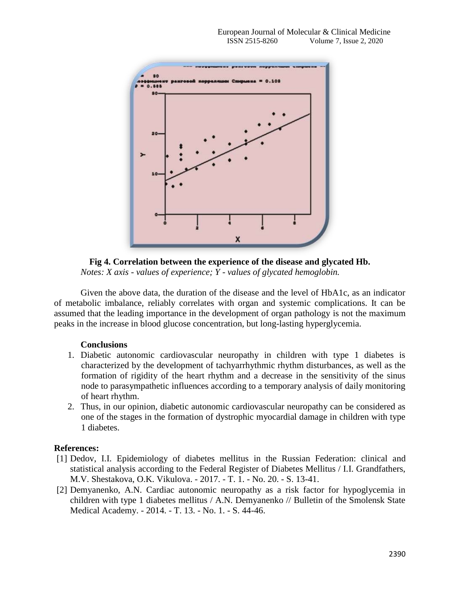

**Fig 4. Correlation between the experience of the disease and glycated Hb.** *Notes: X axis - values of experience; Y - values of glycated hemoglobin.*

Given the above data, the duration of the disease and the level of HbA1c, as an indicator of metabolic imbalance, reliably correlates with organ and systemic complications. It can be assumed that the leading importance in the development of organ pathology is not the maximum peaks in the increase in blood glucose concentration, but long-lasting hyperglycemia.

## **Conclusions**

- 1. Diabetic autonomic cardiovascular neuropathy in children with type 1 diabetes is characterized by the development of tachyarrhythmic rhythm disturbances, as well as the formation of rigidity of the heart rhythm and a decrease in the sensitivity of the sinus node to parasympathetic influences according to a temporary analysis of daily monitoring of heart rhythm.
- 2. Thus, in our opinion, diabetic autonomic cardiovascular neuropathy can be considered as one of the stages in the formation of dystrophic myocardial damage in children with type 1 diabetes.

## **References:**

- [1] Dedov, I.I. Epidemiology of diabetes mellitus in the Russian Federation: clinical and statistical analysis according to the Federal Register of Diabetes Mellitus / I.I. Grandfathers, M.V. Shestakova, O.K. Vikulova. - 2017. - T. 1. - No. 20. - S. 13-41.
- [2] Demyanenko, A.N. Cardiac autonomic neuropathy as a risk factor for hypoglycemia in children with type 1 diabetes mellitus / A.N. Demyanenko // Bulletin of the Smolensk State Medical Academy. - 2014. - T. 13. - No. 1. - S. 44-46.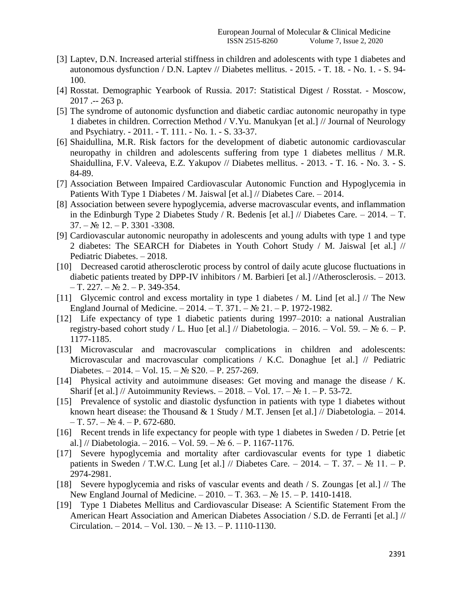- [3] Laptev, D.N. Increased arterial stiffness in children and adolescents with type 1 diabetes and autonomous dysfunction / D.N. Laptev // Diabetes mellitus. - 2015. - T. 18. - No. 1. - S. 94- 100.
- [4] Rosstat. Demographic Yearbook of Russia. 2017: Statistical Digest / Rosstat. Moscow, 2017 .-- 263 p.
- [5] The syndrome of autonomic dysfunction and diabetic cardiac autonomic neuropathy in type 1 diabetes in children. Correction Method / V.Yu. Manukyan [et al.] // Journal of Neurology and Psychiatry. - 2011. - T. 111. - No. 1. - S. 33-37.
- [6] Shaidullina, M.R. Risk factors for the development of diabetic autonomic cardiovascular neuropathy in children and adolescents suffering from type 1 diabetes mellitus / M.R. Shaidullina, F.V. Valeeva, E.Z. Yakupov // Diabetes mellitus. - 2013. - T. 16. - No. 3. - S. 84-89.
- [7] Association Between Impaired Cardiovascular Autonomic Function and Hypoglycemia in Patients With Type 1 Diabetes / M. Jaiswal [et al.] // Diabetes Care. – 2014.
- [8] Association between severe hypoglycemia, adverse macrovascular events, and inflammation in the Edinburgh Type 2 Diabetes Study / R. Bedenis [et al.] // Diabetes Care.  $-2014$ .  $-$  T.  $37. - N_2$  12. – P. 3301 -3308.
- [9] Cardiovascular autonomic neuropathy in adolescents and young adults with type 1 and type 2 diabetes: The SEARCH for Diabetes in Youth Cohort Study / M. Jaiswal [et al.] // Pediatric Diabetes. – 2018.
- [10] Decreased carotid atherosclerotic process by control of daily acute glucose fluctuations in diabetic patients treated by DPP-IV inhibitors / M. Barbieri [et al.] //Atherosclerosis. – 2013. – Т. 227. –  $\mathbb{N}^{\circ}$  2. – Р. 349-354.
- [11] Glycemic control and excess mortality in type 1 diabetes / M. Lind [et al.] // The New England Journal of Medicine. – 2014. – T. 371. – № 21. – P. 1972-1982.
- [12] Life expectancy of type 1 diabetic patients during 1997–2010: a national Australian registry-based cohort study / L. Huo [et al.] // Diabetologia. – 2016. – Vol. 59. –  $\mathbb{N}_2$  6. – P. 1177-1185.
- [13] Microvascular and macrovascular complications in children and adolescents: Microvascular and macrovascular complications / K.C. Donaghue [et al.] // Pediatric Diabetes. – 2014. – Vol. 15. – №  $S20$ . – P. 257-269.
- [14] Physical activity and autoimmune diseases: Get moving and manage the disease / K. Sharif [et al.] // Autoimmunity Reviews. – 2018. – Vol. 17. –  $\mathbb{N}^{\circ}$  1. – P. 53-72.
- [15] Prevalence of systolic and diastolic dysfunction in patients with type 1 diabetes without known heart disease: the Thousand & 1 Study / M.T. Jensen [et al.] // Diabetologia.  $-2014$ . – Т. 57. –  $\mathbb{N}^{\circ}$ 4. – Р. 672-680.
- [16] Recent trends in life expectancy for people with type 1 diabetes in Sweden / D. Petrie [et al.] // Diabetologia. – 2016. – Vol. 59. – № 6. – P. 1167-1176.
- [17] Severe hypoglycemia and mortality after cardiovascular events for type 1 diabetic patients in Sweden / T.W.C. Lung [et al.] // Diabetes Care. – 2014. – T. 37. –  $\mathcal{N}_2$  11. – P. 2974-2981.
- [18] Severe hypoglycemia and risks of vascular events and death / S. Zoungas [et al.] // The New England Journal of Medicine. – 2010. – Т. 363. – № 15. – P. 1410-1418.
- [19] Type 1 Diabetes Mellitus and Cardiovascular Disease: A Scientific Statement From the American Heart Association and American Diabetes Association / S.D. de Ferranti [et al.] // Circulation. – 2014. – Vol. 130. – № 13. – P. 1110-1130.